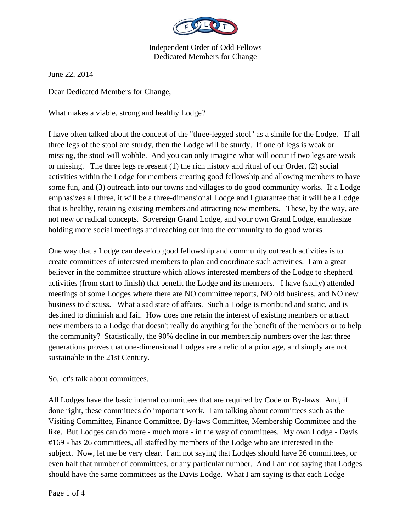

June 22, 2014

Dear Dedicated Members for Change,

What makes a viable, strong and healthy Lodge?

I have often talked about the concept of the "three-legged stool" as a simile for the Lodge. If all three legs of the stool are sturdy, then the Lodge will be sturdy. If one of legs is weak or missing, the stool will wobble. And you can only imagine what will occur if two legs are weak or missing. The three legs represent (1) the rich history and ritual of our Order, (2) social activities within the Lodge for members creating good fellowship and allowing members to have some fun, and (3) outreach into our towns and villages to do good community works. If a Lodge emphasizes all three, it will be a three-dimensional Lodge and I guarantee that it will be a Lodge that is healthy, retaining existing members and attracting new members. These, by the way, are not new or radical concepts. Sovereign Grand Lodge, and your own Grand Lodge, emphasize holding more social meetings and reaching out into the community to do good works.

One way that a Lodge can develop good fellowship and community outreach activities is to create committees of interested members to plan and coordinate such activities. I am a great believer in the committee structure which allows interested members of the Lodge to shepherd activities (from start to finish) that benefit the Lodge and its members. I have (sadly) attended meetings of some Lodges where there are NO committee reports, NO old business, and NO new business to discuss. What a sad state of affairs. Such a Lodge is moribund and static, and is destined to diminish and fail. How does one retain the interest of existing members or attract new members to a Lodge that doesn't really do anything for the benefit of the members or to help the community? Statistically, the 90% decline in our membership numbers over the last three generations proves that one-dimensional Lodges are a relic of a prior age, and simply are not sustainable in the 21st Century.

So, let's talk about committees.

All Lodges have the basic internal committees that are required by Code or By-laws. And, if done right, these committees do important work. I am talking about committees such as the Visiting Committee, Finance Committee, By-laws Committee, Membership Committee and the like. But Lodges can do more - much more - in the way of committees. My own Lodge - Davis #169 - has 26 committees, all staffed by members of the Lodge who are interested in the subject. Now, let me be very clear. I am not saying that Lodges should have 26 committees, or even half that number of committees, or any particular number. And I am not saying that Lodges should have the same committees as the Davis Lodge. What I am saying is that each Lodge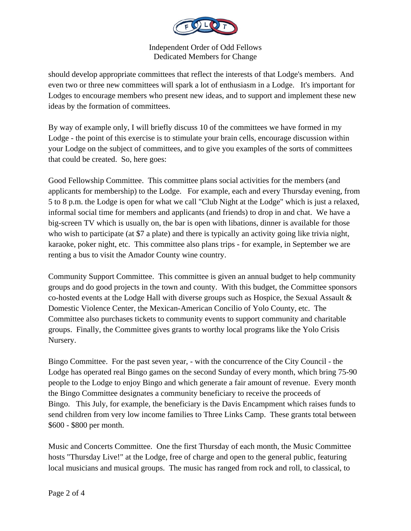

should develop appropriate committees that reflect the interests of that Lodge's members. And even two or three new committees will spark a lot of enthusiasm in a Lodge. It's important for Lodges to encourage members who present new ideas, and to support and implement these new ideas by the formation of committees.

By way of example only, I will briefly discuss 10 of the committees we have formed in my Lodge - the point of this exercise is to stimulate your brain cells, encourage discussion within your Lodge on the subject of committees, and to give you examples of the sorts of committees that could be created. So, here goes:

Good Fellowship Committee. This committee plans social activities for the members (and applicants for membership) to the Lodge. For example, each and every Thursday evening, from 5 to 8 p.m. the Lodge is open for what we call "Club Night at the Lodge" which is just a relaxed, informal social time for members and applicants (and friends) to drop in and chat. We have a big-screen TV which is usually on, the bar is open with libations, dinner is available for those who wish to participate (at \$7 a plate) and there is typically an activity going like trivia night, karaoke, poker night, etc. This committee also plans trips - for example, in September we are renting a bus to visit the Amador County wine country.

Community Support Committee. This committee is given an annual budget to help community groups and do good projects in the town and county. With this budget, the Committee sponsors co-hosted events at the Lodge Hall with diverse groups such as Hospice, the Sexual Assault & Domestic Violence Center, the Mexican-American Concilio of Yolo County, etc. The Committee also purchases tickets to community events to support community and charitable groups. Finally, the Committee gives grants to worthy local programs like the Yolo Crisis Nursery.

Bingo Committee. For the past seven year, - with the concurrence of the City Council - the Lodge has operated real Bingo games on the second Sunday of every month, which bring 75-90 people to the Lodge to enjoy Bingo and which generate a fair amount of revenue. Every month the Bingo Committee designates a community beneficiary to receive the proceeds of Bingo. This July, for example, the beneficiary is the Davis Encampment which raises funds to send children from very low income families to Three Links Camp. These grants total between \$600 - \$800 per month.

Music and Concerts Committee. One the first Thursday of each month, the Music Committee hosts "Thursday Live!" at the Lodge, free of charge and open to the general public, featuring local musicians and musical groups. The music has ranged from rock and roll, to classical, to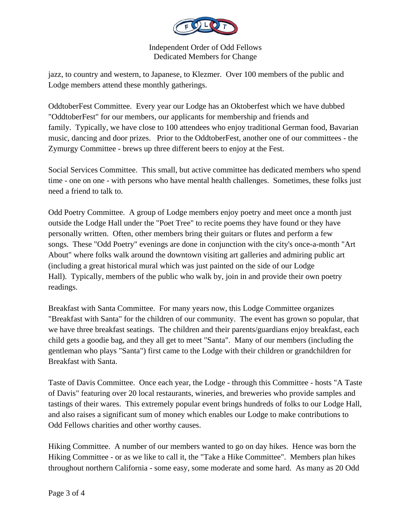

jazz, to country and western, to Japanese, to Klezmer. Over 100 members of the public and Lodge members attend these monthly gatherings.

OddtoberFest Committee. Every year our Lodge has an Oktoberfest which we have dubbed "OddtoberFest" for our members, our applicants for membership and friends and family. Typically, we have close to 100 attendees who enjoy traditional German food, Bavarian music, dancing and door prizes. Prior to the OddtoberFest, another one of our committees - the Zymurgy Committee - brews up three different beers to enjoy at the Fest.

Social Services Committee. This small, but active committee has dedicated members who spend time - one on one - with persons who have mental health challenges. Sometimes, these folks just need a friend to talk to.

Odd Poetry Committee. A group of Lodge members enjoy poetry and meet once a month just outside the Lodge Hall under the "Poet Tree" to recite poems they have found or they have personally written. Often, other members bring their guitars or flutes and perform a few songs. These "Odd Poetry" evenings are done in conjunction with the city's once-a-month "Art About" where folks walk around the downtown visiting art galleries and admiring public art (including a great historical mural which was just painted on the side of our Lodge Hall). Typically, members of the public who walk by, join in and provide their own poetry readings.

Breakfast with Santa Committee. For many years now, this Lodge Committee organizes "Breakfast with Santa" for the children of our community. The event has grown so popular, that we have three breakfast seatings. The children and their parents/guardians enjoy breakfast, each child gets a goodie bag, and they all get to meet "Santa". Many of our members (including the gentleman who plays "Santa") first came to the Lodge with their children or grandchildren for Breakfast with Santa.

Taste of Davis Committee. Once each year, the Lodge - through this Committee - hosts "A Taste of Davis" featuring over 20 local restaurants, wineries, and breweries who provide samples and tastings of their wares. This extremely popular event brings hundreds of folks to our Lodge Hall, and also raises a significant sum of money which enables our Lodge to make contributions to Odd Fellows charities and other worthy causes.

Hiking Committee. A number of our members wanted to go on day hikes. Hence was born the Hiking Committee - or as we like to call it, the "Take a Hike Committee". Members plan hikes throughout northern California - some easy, some moderate and some hard. As many as 20 Odd